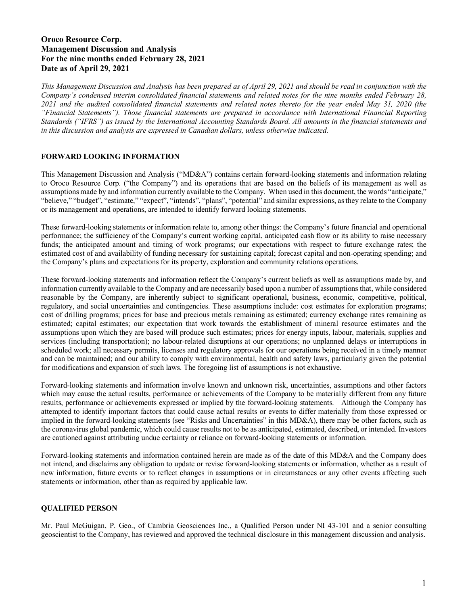# **Oroco Resource Corp. Management Discussion and Analysis For the nine months ended February 28, 2021 Date as of April 29, 2021**

*This Management Discussion and Analysis has been prepared as of April 29, 2021 and should be read in conjunction with the Company's condensed interim consolidated financial statements and related notes for the nine months ended February 28, 2021 and the audited consolidated financial statements and related notes thereto for the year ended May 31, 2020 (the "Financial Statements"). Those financial statements are prepared in accordance with International Financial Reporting Standards ("IFRS") as issued by the International Accounting Standards Board. All amounts in the financial statements and in this discussion and analysis are expressed in Canadian dollars, unless otherwise indicated.*

## **FORWARD LOOKING INFORMATION**

This Management Discussion and Analysis ("MD&A") contains certain forward-looking statements and information relating to Oroco Resource Corp. ("the Company") and its operations that are based on the beliefs of its management as well as assumptions made by and information currently available to the Company. When used in this document, the words "anticipate," "believe," "budget", "estimate," "expect", "intends", "plans", "potential" and similar expressions, as they relate to the Company or its management and operations, are intended to identify forward looking statements.

These forward-looking statements or information relate to, among other things: the Company's future financial and operational performance; the sufficiency of the Company's current working capital, anticipated cash flow or its ability to raise necessary funds; the anticipated amount and timing of work programs; our expectations with respect to future exchange rates; the estimated cost of and availability of funding necessary for sustaining capital; forecast capital and non-operating spending; and the Company's plans and expectations for its property, exploration and community relations operations.

These forward-looking statements and information reflect the Company's current beliefs as well as assumptions made by, and information currently available to the Company and are necessarily based upon a number of assumptions that, while considered reasonable by the Company, are inherently subject to significant operational, business, economic, competitive, political, regulatory, and social uncertainties and contingencies. These assumptions include: cost estimates for exploration programs; cost of drilling programs; prices for base and precious metals remaining as estimated; currency exchange rates remaining as estimated; capital estimates; our expectation that work towards the establishment of mineral resource estimates and the assumptions upon which they are based will produce such estimates; prices for energy inputs, labour, materials, supplies and services (including transportation); no labour-related disruptions at our operations; no unplanned delays or interruptions in scheduled work; all necessary permits, licenses and regulatory approvals for our operations being received in a timely manner and can be maintained; and our ability to comply with environmental, health and safety laws, particularly given the potential for modifications and expansion of such laws. The foregoing list of assumptions is not exhaustive.

Forward-looking statements and information involve known and unknown risk, uncertainties, assumptions and other factors which may cause the actual results, performance or achievements of the Company to be materially different from any future results, performance or achievements expressed or implied by the forward-looking statements. Although the Company has attempted to identify important factors that could cause actual results or events to differ materially from those expressed or implied in the forward-looking statements (see "Risks and Uncertainties" in this MD&A), there may be other factors, such as the coronavirus global pandemic, which could cause results not to be as anticipated, estimated, described, or intended. Investors are cautioned against attributing undue certainty or reliance on forward-looking statements or information.

Forward-looking statements and information contained herein are made as of the date of this MD&A and the Company does not intend, and disclaims any obligation to update or revise forward-looking statements or information, whether as a result of new information, future events or to reflect changes in assumptions or in circumstances or any other events affecting such statements or information, other than as required by applicable law.

## **QUALIFIED PERSON**

Mr. Paul McGuigan, P. Geo., of Cambria Geosciences Inc., a Qualified Person under NI 43-101 and a senior consulting geoscientist to the Company, has reviewed and approved the technical disclosure in this management discussion and analysis.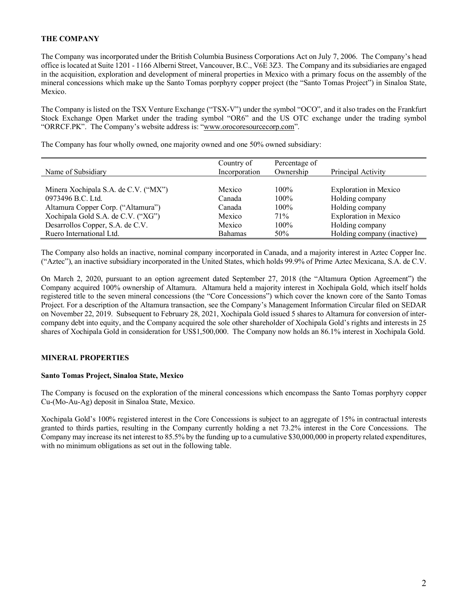## **THE COMPANY**

The Company was incorporated under the British Columbia Business Corporations Act on July 7, 2006. The Company's head office is located at Suite 1201 - 1166 Alberni Street, Vancouver, B.C., V6E 3Z3. The Company and its subsidiaries are engaged in the acquisition, exploration and development of mineral properties in Mexico with a primary focus on the assembly of the mineral concessions which make up the Santo Tomas porphyry copper project (the "Santo Tomas Project") in Sinaloa State, Mexico.

The Company is listed on the TSX Venture Exchange ("TSX-V") under the symbol "OCO", and it also trades on the Frankfurt Stock Exchange Open Market under the trading symbol "OR6" and the US OTC exchange under the trading symbol "ORRCF.PK". The Company's website address is: ["www.orocoresourcecorp.com"](http://www.orocoresourcecorp.com/).

The Company has four wholly owned, one majority owned and one 50% owned subsidiary:

| Name of Subsidiary                   | Country of<br>Incorporation | Percentage of<br>Ownership | Principal Activity           |
|--------------------------------------|-----------------------------|----------------------------|------------------------------|
| Minera Xochipala S.A. de C.V. ("MX") | Mexico                      | $100\%$                    | <b>Exploration</b> in Mexico |
| 0973496 B.C. Ltd.                    | Canada                      | $100\%$                    | Holding company              |
| Altamura Copper Corp. ("Altamura")   | Canada                      | $100\%$                    | Holding company              |
| Xochipala Gold S.A. de C.V. ("XG")   | Mexico                      | 71%                        | <b>Exploration</b> in Mexico |
| Desarrollos Copper, S.A. de C.V.     | Mexico                      | $100\%$                    | Holding company              |
| Ruero International Ltd.             | <b>Bahamas</b>              | 50%                        | Holding company (inactive)   |

The Company also holds an inactive, nominal company incorporated in Canada, and a majority interest in Aztec Copper Inc. ("Aztec"), an inactive subsidiary incorporated in the United States, which holds 99.9% of Prime Aztec Mexicana, S.A. de C.V.

On March 2, 2020, pursuant to an option agreement dated September 27, 2018 (the "Altamura Option Agreement") the Company acquired 100% ownership of Altamura. Altamura held a majority interest in Xochipala Gold, which itself holds registered title to the seven mineral concessions (the "Core Concessions") which cover the known core of the Santo Tomas Project. For a description of the Altamura transaction, see the Company's Management Information Circular filed on SEDAR on November 22, 2019. Subsequent to February 28, 2021, Xochipala Gold issued 5 shares to Altamura for conversion of intercompany debt into equity, and the Company acquired the sole other shareholder of Xochipala Gold's rights and interests in 25 shares of Xochipala Gold in consideration for US\$1,500,000. The Company now holds an 86.1% interest in Xochipala Gold.

## **MINERAL PROPERTIES**

## **Santo Tomas Project, Sinaloa State, Mexico**

The Company is focused on the exploration of the mineral concessions which encompass the Santo Tomas porphyry copper Cu-(Mo-Au-Ag) deposit in Sinaloa State, Mexico.

Xochipala Gold's 100% registered interest in the Core Concessions is subject to an aggregate of 15% in contractual interests granted to thirds parties, resulting in the Company currently holding a net 73.2% interest in the Core Concessions. The Company may increase its net interest to 85.5% by the funding up to a cumulative \$30,000,000 in property related expenditures, with no minimum obligations as set out in the following table.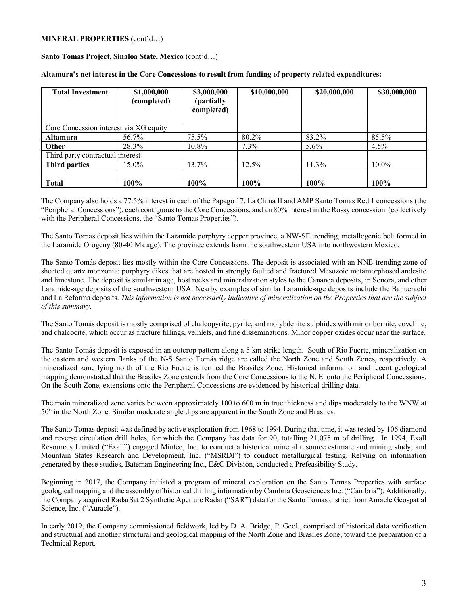### **MINERAL PROPERTIES** (cont'd…)

**Santo Tomas Project, Sinaloa State, Mexico** (cont'd…)

| <b>Total Investment</b>                | \$1,000,000<br>(completed) | \$3,000,000<br>(partially<br>completed) | \$10,000,000 | \$20,000,000 | \$30,000,000 |
|----------------------------------------|----------------------------|-----------------------------------------|--------------|--------------|--------------|
|                                        |                            |                                         |              |              |              |
| Core Concession interest via XG equity |                            |                                         |              |              |              |
| <b>Altamura</b>                        | 56.7%                      | 75.5%                                   | 80.2%        | 83.2%        | 85.5%        |
| <b>Other</b>                           | 28.3%                      | 10.8%                                   | 7.3%         | $5.6\%$      | $4.5\%$      |
| Third party contractual interest       |                            |                                         |              |              |              |
| <b>Third parties</b>                   | 15.0%                      | 13.7%                                   | 12.5%        | 11.3%        | 10.0%        |
|                                        |                            |                                         |              |              |              |
| <b>Total</b>                           | 100%                       | 100%                                    | 100%         | 100%         | 100%         |

**Altamura's net interest in the Core Concessions to result from funding of property related expenditures:** 

The Company also holds a 77.5% interest in each of the Papago 17, La China II and AMP Santo Tomas Red 1 concessions (the "Peripheral Concessions"), each contiguous to the Core Concessions, and an 80% interest in the Rossy concession (collectively with the Peripheral Concessions, the "Santo Tomas Properties").

The Santo Tomas deposit lies within the Laramide porphyry copper province, a NW-SE trending, metallogenic belt formed in the Laramide Orogeny (80-40 Ma age). The province extends from the southwestern USA into northwestern Mexico.

The Santo Tomás deposit lies mostly within the Core Concessions. The deposit is associated with an NNE-trending zone of sheeted quartz monzonite porphyry dikes that are hosted in strongly faulted and fractured Mesozoic metamorphosed andesite and limestone. The deposit is similar in age, host rocks and mineralization styles to the Cananea deposits, in Sonora, and other Laramide-age deposits of the southwestern USA. Nearby examples of similar Laramide-age deposits include the Bahuerachi and La Reforma deposits. *This information is not necessarily indicative of mineralization on the Properties that are the subject of this summary.*

The Santo Tomás deposit is mostly comprised of chalcopyrite, pyrite, and molybdenite sulphides with minor bornite, covellite, and chalcocite, which occur as fracture fillings, veinlets, and fine disseminations. Minor copper oxides occur near the surface.

The Santo Tomás deposit is exposed in an outcrop pattern along a 5 km strike length. South of Rio Fuerte, mineralization on the eastern and western flanks of the N-S Santo Tomás ridge are called the North Zone and South Zones, respectively. A mineralized zone lying north of the Rio Fuerte is termed the Brasiles Zone. Historical information and recent geological mapping demonstrated that the Brasiles Zone extends from the Core Concessions to the N. E. onto the Peripheral Concessions. On the South Zone, extensions onto the Peripheral Concessions are evidenced by historical drilling data.

The main mineralized zone varies between approximately 100 to 600 m in true thickness and dips moderately to the WNW at 50° in the North Zone. Similar moderate angle dips are apparent in the South Zone and Brasiles.

The Santo Tomas deposit was defined by active exploration from 1968 to 1994. During that time, it was tested by 106 diamond and reverse circulation drill holes, for which the Company has data for 90, totalling 21,075 m of drilling. In 1994, Exall Resources Limited ("Exall") engaged Mintec, Inc. to conduct a historical mineral resource estimate and mining study, and Mountain States Research and Development, Inc. ("MSRDI") to conduct metallurgical testing. Relying on information generated by these studies, Bateman Engineering Inc., E&C Division, conducted a Prefeasibility Study.

Beginning in 2017, the Company initiated a program of mineral exploration on the Santo Tomas Properties with surface geological mapping and the assembly of historical drilling information by Cambria Geosciences Inc. ("Cambria"). Additionally, the Company acquired RadarSat 2 Synthetic Aperture Radar ("SAR") data for the Santo Tomas district from Auracle Geospatial Science, Inc. ("Auracle").

In early 2019, the Company commissioned fieldwork, led by D. A. Bridge, P. Geol., comprised of historical data verification and structural and another structural and geological mapping of the North Zone and Brasiles Zone, toward the preparation of a Technical Report.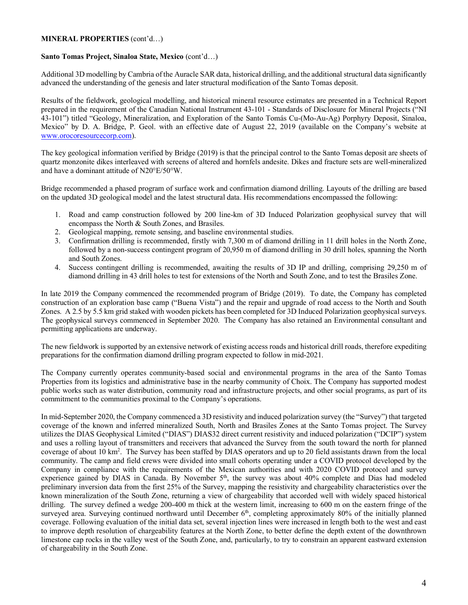### **MINERAL PROPERTIES** (cont'd…)

#### **Santo Tomas Project, Sinaloa State, Mexico** (cont'd…)

Additional 3D modelling by Cambria of the Auracle SAR data, historical drilling, and the additional structural data significantly advanced the understanding of the genesis and later structural modification of the Santo Tomas deposit.

Results of the fieldwork, geological modelling, and historical mineral resource estimates are presented in a Technical Report prepared in the requirement of the Canadian National Instrument 43-101 - Standards of Disclosure for Mineral Projects ("NI 43-101") titled "Geology, Mineralization, and Exploration of the Santo Tomás Cu-(Mo-Au-Ag) Porphyry Deposit, Sinaloa, Mexico" by D. A. Bridge, P. Geol. with an effective date of August 22, 2019 (available on the Company's website at [www.orocoresourcecorp.com\)](http://www.orocoresourcecorp.com/).

The key geological information verified by Bridge (2019) is that the principal control to the Santo Tomas deposit are sheets of quartz monzonite dikes interleaved with screens of altered and hornfels andesite. Dikes and fracture sets are well-mineralized and have a dominant attitude of N20°E/50°W.

Bridge recommended a phased program of surface work and confirmation diamond drilling. Layouts of the drilling are based on the updated 3D geological model and the latest structural data. His recommendations encompassed the following:

- 1. Road and camp construction followed by 200 line-km of 3D Induced Polarization geophysical survey that will encompass the North & South Zones, and Brasiles.
- 2. Geological mapping, remote sensing, and baseline environmental studies.
- 3. Confirmation drilling is recommended, firstly with 7,300 m of diamond drilling in 11 drill holes in the North Zone, followed by a non-success contingent program of 20,950 m of diamond drilling in 30 drill holes, spanning the North and South Zones.
- 4. Success contingent drilling is recommended, awaiting the results of 3D IP and drilling, comprising 29,250 m of diamond drilling in 43 drill holes to test for extensions of the North and South Zone, and to test the Brasiles Zone.

In late 2019 the Company commenced the recommended program of Bridge (2019). To date, the Company has completed construction of an exploration base camp ("Buena Vista") and the repair and upgrade of road access to the North and South Zones. A 2.5 by 5.5 km grid staked with wooden pickets has been completed for 3D Induced Polarization geophysical surveys. The geophysical surveys commenced in September 2020. The Company has also retained an Environmental consultant and permitting applications are underway.

The new fieldwork is supported by an extensive network of existing access roads and historical drill roads, therefore expediting preparations for the confirmation diamond drilling program expected to follow in mid-2021.

The Company currently operates community-based social and environmental programs in the area of the Santo Tomas Properties from its logistics and administrative base in the nearby community of Choix. The Company has supported modest public works such as water distribution, community road and infrastructure projects, and other social programs, as part of its commitment to the communities proximal to the Company's operations.

In mid-September 2020, the Company commenced a 3D resistivity and induced polarization survey (the "Survey") that targeted coverage of the known and inferred mineralized South, North and Brasiles Zones at the Santo Tomas project. The Survey utilizes the DIAS Geophysical Limited ("DIAS") DIAS32 direct current resistivity and induced polarization ("DCIP") system and uses a rolling layout of transmitters and receivers that advanced the Survey from the south toward the north for planned coverage of about 10 km<sup>2</sup>. The Survey has been staffed by DIAS operators and up to 20 field assistants drawn from the local community. The camp and field crews were divided into small cohorts operating under a COVID protocol developed by the Company in compliance with the requirements of the Mexican authorities and with 2020 COVID protocol and survey experience gained by DIAS in Canada. By November  $5<sup>th</sup>$ , the survey was about 40% complete and Dias had modeled preliminary inversion data from the first 25% of the Survey, mapping the resistivity and chargeability characteristics over the known mineralization of the South Zone, returning a view of chargeability that accorded well with widely spaced historical drilling. The survey defined a wedge 200-400 m thick at the western limit, increasing to 600 m on the eastern fringe of the surveyed area. Surveying continued northward until December 6<sup>th</sup>, completing approximately 80% of the initially planned coverage. Following evaluation of the initial data set, several injection lines were increased in length both to the west and east to improve depth resolution of chargeability features at the North Zone, to better define the depth extent of the downthrown limestone cap rocks in the valley west of the South Zone, and, particularly, to try to constrain an apparent eastward extension of chargeability in the South Zone.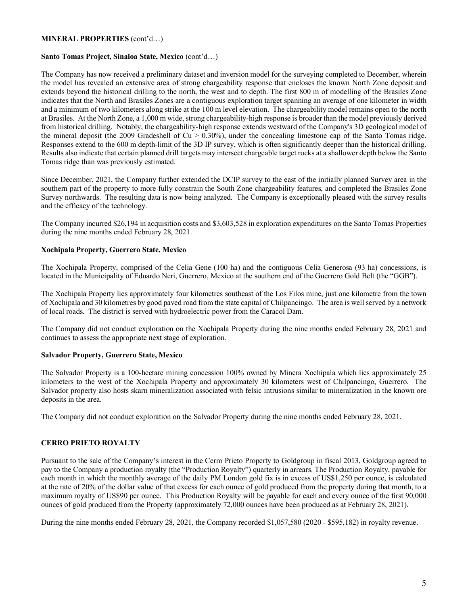### **MINERAL PROPERTIES** (cont'd…)

### **Santo Tomas Project, Sinaloa State, Mexico** (cont'd…)

The Company has now received a preliminary dataset and inversion model for the surveying completed to December, wherein the model has revealed an extensive area of strong chargeability response that encloses the known North Zone deposit and extends beyond the historical drilling to the north, the west and to depth. The first 800 m of modelling of the Brasiles Zone indicates that the North and Brasiles Zones are a contiguous exploration target spanning an average of one kilometer in width and a minimum of two kilometers along strike at the 100 m level elevation. The chargeability model remains open to the north at Brasiles. At the North Zone, a 1,000 m wide, strong chargeability-high response is broader than the model previously derived from historical drilling. Notably, the chargeability-high response extends westward of the Company's 3D geological model of the mineral deposit (the 2009 Gradeshell of  $Cu > 0.30\%$ ), under the concealing limestone cap of the Santo Tomas ridge. Responses extend to the 600 m depth-limit of the 3D IP survey, which is often significantly deeper than the historical drilling. Results also indicate that certain planned drill targets may intersect chargeable target rocks at a shallower depth below the Santo Tomas ridge than was previously estimated.

Since December, 2021, the Company further extended the DCIP survey to the east of the initially planned Survey area in the southern part of the property to more fully constrain the South Zone chargeability features, and completed the Brasiles Zone Survey northwards. The resulting data is now being analyzed. The Company is exceptionally pleased with the survey results and the efficacy of the technology.

The Company incurred \$26,194 in acquisition costs and \$3,603,528 in exploration expenditures on the Santo Tomas Properties during the nine months ended February 28, 2021.

#### **Xochipala Property, Guerrero State, Mexico**

The Xochipala Property, comprised of the Celia Gene (100 ha) and the contiguous Celia Generosa (93 ha) concessions, is located in the Municipality of Eduardo Neri, Guerrero, Mexico at the southern end of the Guerrero Gold Belt (the "GGB").

The Xochipala Property lies approximately four kilometres southeast of the Los Filos mine, just one kilometre from the town of Xochipala and 30 kilometres by good paved road from the state capital of Chilpancingo. The area is well served by a network of local roads. The district is served with hydroelectric power from the Caracol Dam.

The Company did not conduct exploration on the Xochipala Property during the nine months ended February 28, 2021 and continues to assess the appropriate next stage of exploration.

#### **Salvador Property, Guerrero State, Mexico**

The Salvador Property is a 100-hectare mining concession 100% owned by Minera Xochipala which lies approximately 25 kilometers to the west of the Xochipala Property and approximately 30 kilometers west of Chilpancingo, Guerrero. The Salvador property also hosts skarn mineralization associated with felsic intrusions similar to mineralization in the known ore deposits in the area.

The Company did not conduct exploration on the Salvador Property during the nine months ended February 28, 2021.

## **CERRO PRIETO ROYALTY**

Pursuant to the sale of the Company's interest in the Cerro Prieto Property to Goldgroup in fiscal 2013, Goldgroup agreed to pay to the Company a production royalty (the "Production Royalty") quarterly in arrears. The Production Royalty, payable for each month in which the monthly average of the daily PM London gold fix is in excess of US\$1,250 per ounce, is calculated at the rate of 20% of the dollar value of that excess for each ounce of gold produced from the property during that month, to a maximum royalty of US\$90 per ounce. This Production Royalty will be payable for each and every ounce of the first 90,000 ounces of gold produced from the Property (approximately 72,000 ounces have been produced as at February 28, 2021).

During the nine months ended February 28, 2021, the Company recorded \$1,057,580 (2020 - \$595,182) in royalty revenue.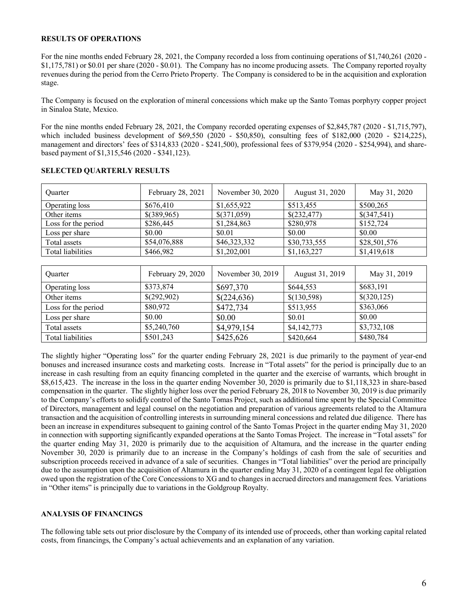### **RESULTS OF OPERATIONS**

For the nine months ended February 28, 2021, the Company recorded a loss from continuing operations of \$1,740,261 (2020 - \$1,175,781) or \$0.01 per share (2020 - \$0.01). The Company has no income producing assets. The Company reported royalty revenues during the period from the Cerro Prieto Property. The Company is considered to be in the acquisition and exploration stage.

The Company is focused on the exploration of mineral concessions which make up the Santo Tomas porphyry copper project in Sinaloa State, Mexico.

For the nine months ended February 28, 2021, the Company recorded operating expenses of \$2,845,787 (2020 - \$1,715,797), which included business development of \$69,550 (2020 - \$50,850), consulting fees of \$182,000 (2020 - \$214,225), management and directors' fees of \$314,833 (2020 - \$241,500), professional fees of \$379,954 (2020 - \$254,994), and sharebased payment of \$1,315,546 (2020 - \$341,123).

| Ouarter             | February 28, 2021 | November 30, 2020 | August 31, 2020 | May 31, 2020  |
|---------------------|-------------------|-------------------|-----------------|---------------|
| Operating loss      | \$676,410         | \$1,655,922       | \$513,455       | \$500,265     |
| Other items         | \$(389,965)       | \$(371,059)       | \$(232,477)     | $\$(347,541)$ |
| Loss for the period | \$286,445         | \$1,284,863       | \$280,978       | \$152,724     |
| Loss per share      | \$0.00            | \$0.01            | \$0.00          | \$0.00        |
| Total assets        | \$54,076,888      | \$46,323,332      | \$30,733,555    | \$28,501,576  |
| Total liabilities   | \$466,982         | \$1,202,001       | \$1,163,227     | \$1,419,618   |

## **SELECTED QUARTERLY RESULTS**

| <b>Ouarter</b>      | February 29, 2020 | November 30, 2019 | August 31, 2019 | May 31, 2019 |
|---------------------|-------------------|-------------------|-----------------|--------------|
| Operating loss      | \$373,874         | \$697,370         | \$644,553       | \$683,191    |
| Other items         | \$(292,902)       | \$(224,636)       | \$(130,598)     | \$(320,125)  |
| Loss for the period | \$80,972          | \$472,734         | \$513,955       | \$363,066    |
| Loss per share      | \$0.00            | \$0.00            | \$0.01          | \$0.00       |
| Total assets        | \$5,240,760       | \$4,979,154       | \$4,142,773     | \$3,732,108  |
| Total liabilities   | \$501,243         | \$425,626         | \$420,664       | \$480,784    |

The slightly higher "Operating loss" for the quarter ending February 28, 2021 is due primarily to the payment of year-end bonuses and increased insurance costs and marketing costs. Increase in "Total assets" for the period is principally due to an increase in cash resulting from an equity financing completed in the quarter and the exercise of warrants, which brought in \$8,615,423. The increase in the loss in the quarter ending November 30, 2020 is primarily due to \$1,118,323 in share-based compensation in the quarter. The slightly higher loss over the period February 28, 2018 to November 30, 2019 is due primarily to the Company's efforts to solidify control of the Santo Tomas Project, such as additional time spent by the Special Committee of Directors, management and legal counsel on the negotiation and preparation of various agreements related to the Altamura transaction and the acquisition of controlling interests in surrounding mineral concessions and related due diligence. There has been an increase in expenditures subsequent to gaining control of the Santo Tomas Project in the quarter ending May 31, 2020 in connection with supporting significantly expanded operations at the Santo Tomas Project. The increase in "Total assets" for the quarter ending May 31, 2020 is primarily due to the acquisition of Altamura, and the increase in the quarter ending November 30, 2020 is primarily due to an increase in the Company's holdings of cash from the sale of securities and subscription proceeds received in advance of a sale of securities. Changes in "Total liabilities" over the period are principally due to the assumption upon the acquisition of Altamura in the quarter ending May 31, 2020 of a contingent legal fee obligation owed upon the registration of the Core Concessionsto XG and to changes in accrued directors and management fees. Variations in "Other items" is principally due to variations in the Goldgroup Royalty.

## **ANALYSIS OF FINANCINGS**

The following table sets out prior disclosure by the Company of its intended use of proceeds, other than working capital related costs, from financings, the Company's actual achievements and an explanation of any variation.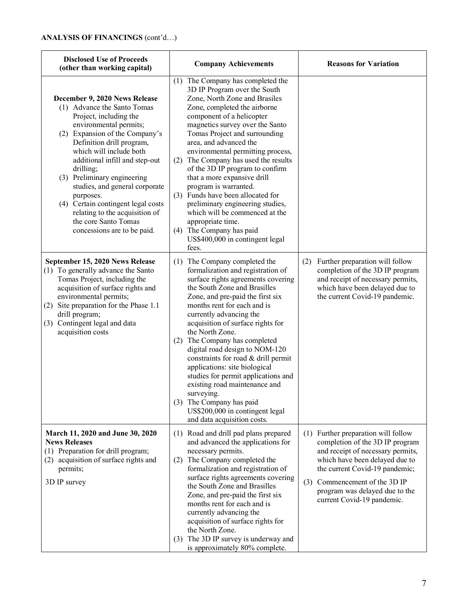| <b>Disclosed Use of Proceeds</b><br><b>Company Achievements</b><br>(other than working capital)                                                                                                                                                                                                                                                                                                                                                                        |                                                                                                                                                                                                                                                                                                                                                                                                                                                                                                                                                                                                                                                  | <b>Reasons for Variation</b>                                                                                                                                                                                                                                                        |
|------------------------------------------------------------------------------------------------------------------------------------------------------------------------------------------------------------------------------------------------------------------------------------------------------------------------------------------------------------------------------------------------------------------------------------------------------------------------|--------------------------------------------------------------------------------------------------------------------------------------------------------------------------------------------------------------------------------------------------------------------------------------------------------------------------------------------------------------------------------------------------------------------------------------------------------------------------------------------------------------------------------------------------------------------------------------------------------------------------------------------------|-------------------------------------------------------------------------------------------------------------------------------------------------------------------------------------------------------------------------------------------------------------------------------------|
| December 9, 2020 News Release<br>(1) Advance the Santo Tomas<br>Project, including the<br>environmental permits;<br>(2) Expansion of the Company's<br>Definition drill program,<br>which will include both<br>additional infill and step-out<br>drilling;<br>(3) Preliminary engineering<br>studies, and general corporate<br>purposes.<br>(4) Certain contingent legal costs<br>relating to the acquisition of<br>the core Santo Tomas<br>concessions are to be paid. | (1) The Company has completed the<br>3D IP Program over the South<br>Zone, North Zone and Brasiles<br>Zone, completed the airborne<br>component of a helicopter<br>magnetics survey over the Santo<br>Tomas Project and surrounding<br>area, and advanced the<br>environmental permitting process,<br>The Company has used the results<br>(2)<br>of the 3D IP program to confirm<br>that a more expansive drill<br>program is warranted.<br>(3) Funds have been allocated for<br>preliminary engineering studies,<br>which will be commenced at the<br>appropriate time.<br>(4) The Company has paid<br>US\$400,000 in contingent legal<br>fees. |                                                                                                                                                                                                                                                                                     |
| September 15, 2020 News Release<br>(1) To generally advance the Santo<br>Tomas Project, including the<br>acquisition of surface rights and<br>environmental permits;<br>(2) Site preparation for the Phase 1.1<br>drill program;<br>(3) Contingent legal and data<br>acquisition costs                                                                                                                                                                                 | (1) The Company completed the<br>formalization and registration of<br>surface rights agreements covering<br>the South Zone and Brasilles<br>Zone, and pre-paid the first six<br>months rent for each and is<br>currently advancing the<br>acquisition of surface rights for<br>the North Zone.<br>The Company has completed<br>(2)<br>digital road design to NOM-120<br>constraints for road & drill permit<br>applications: site biological<br>studies for permit applications and<br>existing road maintenance and<br>surveying.<br>(3) The Company has paid<br>US\$200,000 in contingent legal<br>and data acquisition costs.                 | Further preparation will follow<br>(2)<br>completion of the 3D IP program<br>and receipt of necessary permits,<br>which have been delayed due to<br>the current Covid-19 pandemic.                                                                                                  |
| March 11, 2020 and June 30, 2020<br><b>News Releases</b><br>(1) Preparation for drill program;<br>(2) acquisition of surface rights and<br>permits;<br>3D IP survey                                                                                                                                                                                                                                                                                                    | (1) Road and drill pad plans prepared<br>and advanced the applications for<br>necessary permits.<br>The Company completed the<br>(2)<br>formalization and registration of<br>surface rights agreements covering<br>the South Zone and Brasilles<br>Zone, and pre-paid the first six<br>months rent for each and is<br>currently advancing the<br>acquisition of surface rights for<br>the North Zone.<br>The 3D IP survey is underway and<br>(3)<br>is approximately 80% complete.                                                                                                                                                               | (1) Further preparation will follow<br>completion of the 3D IP program<br>and receipt of necessary permits,<br>which have been delayed due to<br>the current Covid-19 pandemic;<br>Commencement of the 3D IP<br>(3)<br>program was delayed due to the<br>current Covid-19 pandemic. |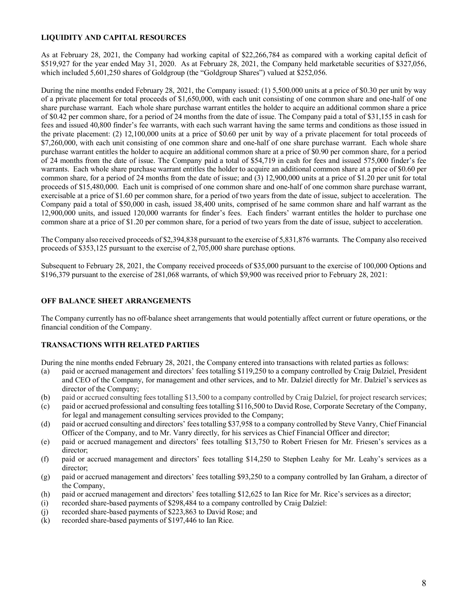# **LIQUIDITY AND CAPITAL RESOURCES**

As at February 28, 2021, the Company had working capital of \$22,266,784 as compared with a working capital deficit of \$519,927 for the year ended May 31, 2020. As at February 28, 2021, the Company held marketable securities of \$327,056, which included 5,601,250 shares of Goldgroup (the "Goldgroup Shares") valued at \$252,056.

During the nine months ended February 28, 2021, the Company issued: (1) 5,500,000 units at a price of \$0.30 per unit by way of a private placement for total proceeds of \$1,650,000, with each unit consisting of one common share and one-half of one share purchase warrant. Each whole share purchase warrant entitles the holder to acquire an additional common share a price of \$0.42 per common share, for a period of 24 months from the date of issue. The Company paid a total of \$31,155 in cash for fees and issued 40,800 finder's fee warrants, with each such warrant having the same terms and conditions as those issued in the private placement: (2) 12,100,000 units at a price of \$0.60 per unit by way of a private placement for total proceeds of \$7,260,000, with each unit consisting of one common share and one-half of one share purchase warrant. Each whole share purchase warrant entitles the holder to acquire an additional common share at a price of \$0.90 per common share, for a period of 24 months from the date of issue. The Company paid a total of \$54,719 in cash for fees and issued 575,000 finder's fee warrants. Each whole share purchase warrant entitles the holder to acquire an additional common share at a price of \$0.60 per common share, for a period of 24 months from the date of issue; and (3) 12,900,000 units at a price of \$1.20 per unit for total proceeds of \$15,480,000. Each unit is comprised of one common share and one-half of one common share purchase warrant, exercisable at a price of \$1.60 per common share, for a period of two years from the date of issue, subject to acceleration. The Company paid a total of \$50,000 in cash, issued 38,400 units, comprised of he same common share and half warrant as the 12,900,000 units, and issued 120,000 warrants for finder's fees. Each finders' warrant entitles the holder to purchase one common share at a price of \$1.20 per common share, for a period of two years from the date of issue, subject to acceleration.

The Company also received proceeds of \$2,394,838 pursuant to the exercise of 5,831,876 warrants. The Company also received proceeds of \$353,125 pursuant to the exercise of 2,705,000 share purchase options.

Subsequent to February 28, 2021, the Company received proceeds of \$35,000 pursuant to the exercise of 100,000 Options and \$196,379 pursuant to the exercise of 281,068 warrants, of which \$9,900 was received prior to February 28, 2021:

## **OFF BALANCE SHEET ARRANGEMENTS**

The Company currently has no off-balance sheet arrangements that would potentially affect current or future operations, or the financial condition of the Company.

## **TRANSACTIONS WITH RELATED PARTIES**

During the nine months ended February 28, 2021, the Company entered into transactions with related parties as follows:

- (a) paid or accrued management and directors' fees totalling \$119,250 to a company controlled by Craig Dalziel, President and CEO of the Company, for management and other services, and to Mr. Dalziel directly for Mr. Dalziel's services as director of the Company;
- (b) paid or accrued consulting fees totalling \$13,500 to a company controlled by Craig Dalziel, for project research services;
- (c) paid or accrued professional and consulting fees totalling \$116,500 to David Rose, Corporate Secretary of the Company, for legal and management consulting services provided to the Company;
- (d) paid or accrued consulting and directors' fees totalling \$37,958 to a company controlled by Steve Vanry, Chief Financial Officer of the Company, and to Mr. Vanry directly, for his services as Chief Financial Officer and director;
- (e) paid or accrued management and directors' fees totalling \$13,750 to Robert Friesen for Mr. Friesen's services as a director;
- (f) paid or accrued management and directors' fees totalling \$14,250 to Stephen Leahy for Mr. Leahy's services as a director;
- (g) paid or accrued management and directors' fees totalling \$93,250 to a company controlled by Ian Graham, a director of the Company,
- (h) paid or accrued management and directors' fees totalling \$12,625 to Ian Rice for Mr. Rice's services as a director;
- (i) recorded share-based payments of \$298,484 to a company controlled by Craig Dalziel:
- (j) recorded share-based payments of \$223,863 to David Rose; and
- (k) recorded share-based payments of \$197,446 to Ian Rice.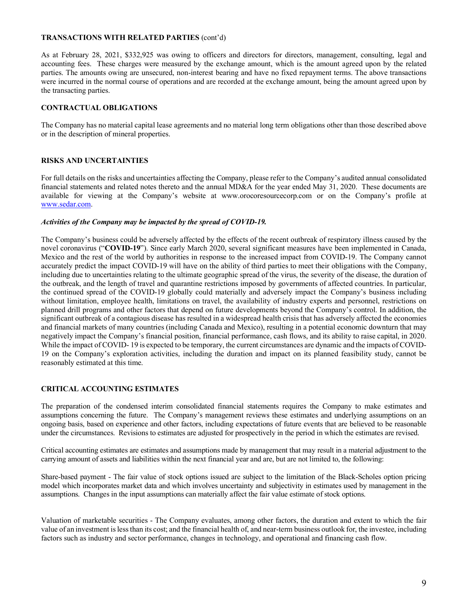## **TRANSACTIONS WITH RELATED PARTIES** (cont'd)

As at February 28, 2021, \$332,925 was owing to officers and directors for directors, management, consulting, legal and accounting fees. These charges were measured by the exchange amount, which is the amount agreed upon by the related parties. The amounts owing are unsecured, non-interest bearing and have no fixed repayment terms. The above transactions were incurred in the normal course of operations and are recorded at the exchange amount, being the amount agreed upon by the transacting parties.

## **CONTRACTUAL OBLIGATIONS**

The Company has no material capital lease agreements and no material long term obligations other than those described above or in the description of mineral properties.

## **RISKS AND UNCERTAINTIES**

For full details on the risks and uncertainties affecting the Company, please refer to the Company's audited annual consolidated financial statements and related notes thereto and the annual MD&A for the year ended May 31, 2020. These documents are available for viewing at the Company's website at www.orocoresourcecorp.com or on the Company's profile at [www.sedar.com.](http://www.sedar.com/)

## *Activities of the Company may be impacted by the spread of COVID-19.*

The Company's business could be adversely affected by the effects of the recent outbreak of respiratory illness caused by the novel coronavirus ("**COVID-19**"). Since early March 2020, several significant measures have been implemented in Canada, Mexico and the rest of the world by authorities in response to the increased impact from COVID-19. The Company cannot accurately predict the impact COVID-19 will have on the ability of third parties to meet their obligations with the Company, including due to uncertainties relating to the ultimate geographic spread of the virus, the severity of the disease, the duration of the outbreak, and the length of travel and quarantine restrictions imposed by governments of affected countries. In particular, the continued spread of the COVID-19 globally could materially and adversely impact the Company's business including without limitation, employee health, limitations on travel, the availability of industry experts and personnel, restrictions on planned drill programs and other factors that depend on future developments beyond the Company's control. In addition, the significant outbreak of a contagious disease has resulted in a widespread health crisis that has adversely affected the economies and financial markets of many countries (including Canada and Mexico), resulting in a potential economic downturn that may negatively impact the Company's financial position, financial performance, cash flows, and its ability to raise capital, in 2020. While the impact of COVID- 19 is expected to be temporary, the current circumstances are dynamic and the impacts of COVID-19 on the Company's exploration activities, including the duration and impact on its planned feasibility study, cannot be reasonably estimated at this time.

# **CRITICAL ACCOUNTING ESTIMATES**

The preparation of the condensed interim consolidated financial statements requires the Company to make estimates and assumptions concerning the future. The Company's management reviews these estimates and underlying assumptions on an ongoing basis, based on experience and other factors, including expectations of future events that are believed to be reasonable under the circumstances. Revisions to estimates are adjusted for prospectively in the period in which the estimates are revised.

Critical accounting estimates are estimates and assumptions made by management that may result in a material adjustment to the carrying amount of assets and liabilities within the next financial year and are, but are not limited to, the following:

Share-based payment - The fair value of stock options issued are subject to the limitation of the Black-Scholes option pricing model which incorporates market data and which involves uncertainty and subjectivity in estimates used by management in the assumptions. Changes in the input assumptions can materially affect the fair value estimate of stock options.

Valuation of marketable securities - The Company evaluates, among other factors, the duration and extent to which the fair value of an investment is less than its cost; and the financial health of, and near-term business outlook for, the investee, including factors such as industry and sector performance, changes in technology, and operational and financing cash flow.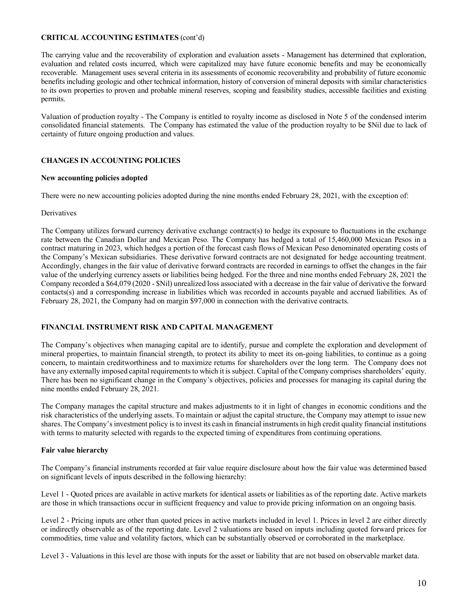## **CRITICAL ACCOUNTING ESTIMATES** (cont'd)

The carrying value and the recoverability of exploration and evaluation assets - Management has determined that exploration, evaluation and related costs incurred, which were capitalized may have future economic benefits and may be economically recoverable. Management uses several criteria in its assessments of economic recoverability and probability of future economic benefits including geologic and other technical information, history of conversion of mineral deposits with similar characteristics to its own properties to proven and probable mineral reserves, scoping and feasibility studies, accessible facilities and existing permits.

Valuation of production royalty - The Company is entitled to royalty income as disclosed in Note 5 of the condensed interim consolidated financial statements. The Company has estimated the value of the production royalty to be \$Nil due to lack of certainty of future ongoing production and values.

## **CHANGES IN ACCOUNTING POLICIES**

#### **New accounting policies adopted**

There were no new accounting policies adopted during the nine months ended February 28, 2021, with the exception of:

## **Derivatives**

The Company utilizes forward currency derivative exchange contract(s) to hedge its exposure to fluctuations in the exchange rate between the Canadian Dollar and Mexican Peso. The Company has hedged a total of 15,460,000 Mexican Pesos in a contract maturing in 2023, which hedges a portion of the forecast cash flows of Mexican Peso denominated operating costs of the Company's Mexican subsidiaries. These derivative forward contracts are not designated for hedge accounting treatment. Accordingly, changes in the fair value of derivative forward contracts are recorded in earnings to offset the changes in the fair value of the underlying currency assets or liabilities being hedged. For the three and nine months ended February 28, 2021 the Company recorded a \$64,079 (2020 - \$Nil) unrealized loss associated with a decrease in the fair value of derivative the forward contacts(s) and a corresponding increase in liabilities which was recorded in accounts payable and accrued liabilities. As of February 28, 2021, the Company had on margin \$97,000 in connection with the derivative contracts.

## **FINANCIAL INSTRUMENT RISK AND CAPITAL MANAGEMENT**

The Company's objectives when managing capital are to identify, pursue and complete the exploration and development of mineral properties, to maintain financial strength, to protect its ability to meet its on-going liabilities, to continue as a going concern, to maintain creditworthiness and to maximize returns for shareholders over the long term. The Company does not have any externally imposed capital requirements to which it is subject. Capital of the Company comprises shareholders' equity. There has been no significant change in the Company's objectives, policies and processes for managing its capital during the nine months ended February 28, 2021.

The Company manages the capital structure and makes adjustments to it in light of changes in economic conditions and the risk characteristics of the underlying assets. To maintain or adjust the capital structure, the Company may attempt to issue new shares. The Company's investment policy is to invest its cash in financial instruments in high credit quality financial institutions with terms to maturity selected with regards to the expected timing of expenditures from continuing operations.

## **Fair value hierarchy**

The Company's financial instruments recorded at fair value require disclosure about how the fair value was determined based on significant levels of inputs described in the following hierarchy:

Level 1 - Quoted prices are available in active markets for identical assets or liabilities as of the reporting date. Active markets are those in which transactions occur in sufficient frequency and value to provide pricing information on an ongoing basis.

Level 2 - Pricing inputs are other than quoted prices in active markets included in level 1. Prices in level 2 are either directly or indirectly observable as of the reporting date. Level 2 valuations are based on inputs including quoted forward prices for commodities, time value and volatility factors, which can be substantially observed or corroborated in the marketplace.

Level 3 - Valuations in this level are those with inputs for the asset or liability that are not based on observable market data.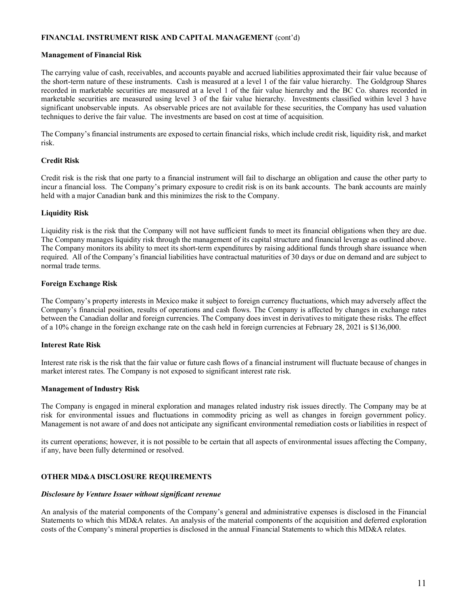## **FINANCIAL INSTRUMENT RISK AND CAPITAL MANAGEMENT** (cont'd)

## **Management of Financial Risk**

The carrying value of cash, receivables, and accounts payable and accrued liabilities approximated their fair value because of the short-term nature of these instruments. Cash is measured at a level 1 of the fair value hierarchy. The Goldgroup Shares recorded in marketable securities are measured at a level 1 of the fair value hierarchy and the BC Co. shares recorded in marketable securities are measured using level 3 of the fair value hierarchy. Investments classified within level 3 have significant unobservable inputs. As observable prices are not available for these securities, the Company has used valuation techniques to derive the fair value. The investments are based on cost at time of acquisition.

The Company's financial instruments are exposed to certain financial risks, which include credit risk, liquidity risk, and market risk.

## **Credit Risk**

Credit risk is the risk that one party to a financial instrument will fail to discharge an obligation and cause the other party to incur a financial loss. The Company's primary exposure to credit risk is on its bank accounts. The bank accounts are mainly held with a major Canadian bank and this minimizes the risk to the Company.

## **Liquidity Risk**

Liquidity risk is the risk that the Company will not have sufficient funds to meet its financial obligations when they are due. The Company manages liquidity risk through the management of its capital structure and financial leverage as outlined above. The Company monitors its ability to meet its short-term expenditures by raising additional funds through share issuance when required. All of the Company's financial liabilities have contractual maturities of 30 days or due on demand and are subject to normal trade terms.

## **Foreign Exchange Risk**

The Company's property interests in Mexico make it subject to foreign currency fluctuations, which may adversely affect the Company's financial position, results of operations and cash flows. The Company is affected by changes in exchange rates between the Canadian dollar and foreign currencies. The Company does invest in derivatives to mitigate these risks. The effect of a 10% change in the foreign exchange rate on the cash held in foreign currencies at February 28, 2021 is \$136,000.

## **Interest Rate Risk**

Interest rate risk is the risk that the fair value or future cash flows of a financial instrument will fluctuate because of changes in market interest rates. The Company is not exposed to significant interest rate risk.

## **Management of Industry Risk**

The Company is engaged in mineral exploration and manages related industry risk issues directly. The Company may be at risk for environmental issues and fluctuations in commodity pricing as well as changes in foreign government policy. Management is not aware of and does not anticipate any significant environmental remediation costs or liabilities in respect of

its current operations; however, it is not possible to be certain that all aspects of environmental issues affecting the Company, if any, have been fully determined or resolved.

# **OTHER MD&A DISCLOSURE REQUIREMENTS**

## *Disclosure by Venture Issuer without significant revenue*

An analysis of the material components of the Company's general and administrative expenses is disclosed in the Financial Statements to which this MD&A relates. An analysis of the material components of the acquisition and deferred exploration costs of the Company's mineral properties is disclosed in the annual Financial Statements to which this MD&A relates.